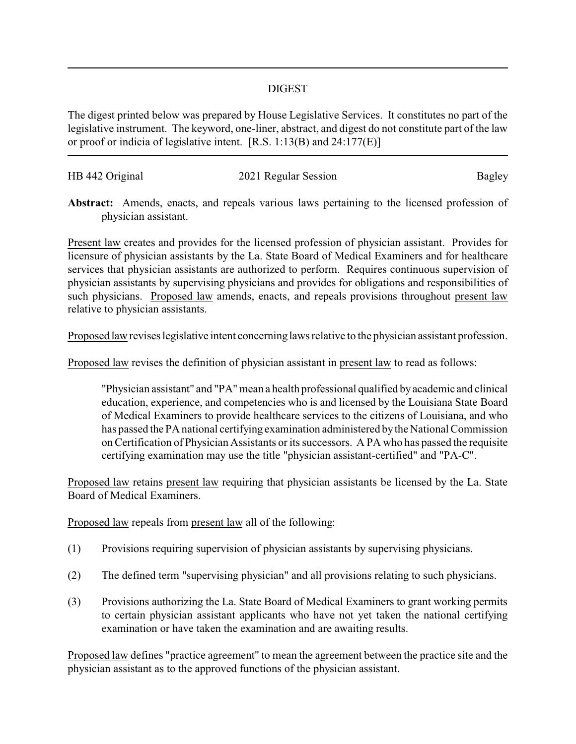## DIGEST

The digest printed below was prepared by House Legislative Services. It constitutes no part of the legislative instrument. The keyword, one-liner, abstract, and digest do not constitute part of the law or proof or indicia of legislative intent. [R.S. 1:13(B) and 24:177(E)]

| HB 442 Original | 2021 Regular Session | Bagley |
|-----------------|----------------------|--------|
|                 |                      |        |

**Abstract:** Amends, enacts, and repeals various laws pertaining to the licensed profession of physician assistant.

Present law creates and provides for the licensed profession of physician assistant. Provides for licensure of physician assistants by the La. State Board of Medical Examiners and for healthcare services that physician assistants are authorized to perform. Requires continuous supervision of physician assistants by supervising physicians and provides for obligations and responsibilities of such physicians. Proposed law amends, enacts, and repeals provisions throughout present law relative to physician assistants.

Proposed law revises legislative intent concerning laws relative to the physician assistant profession.

Proposed law revises the definition of physician assistant in present law to read as follows:

"Physician assistant" and "PA"mean a health professional qualified byacademic and clinical education, experience, and competencies who is and licensed by the Louisiana State Board of Medical Examiners to provide healthcare services to the citizens of Louisiana, and who has passed the PA national certifying examination administered bythe National Commission on Certification of Physician Assistants or its successors. A PA who has passed the requisite certifying examination may use the title "physician assistant-certified" and "PA-C".

Proposed law retains present law requiring that physician assistants be licensed by the La. State Board of Medical Examiners.

Proposed law repeals from present law all of the following:

- (1) Provisions requiring supervision of physician assistants by supervising physicians.
- (2) The defined term "supervising physician" and all provisions relating to such physicians.
- (3) Provisions authorizing the La. State Board of Medical Examiners to grant working permits to certain physician assistant applicants who have not yet taken the national certifying examination or have taken the examination and are awaiting results.

Proposed law defines "practice agreement" to mean the agreement between the practice site and the physician assistant as to the approved functions of the physician assistant.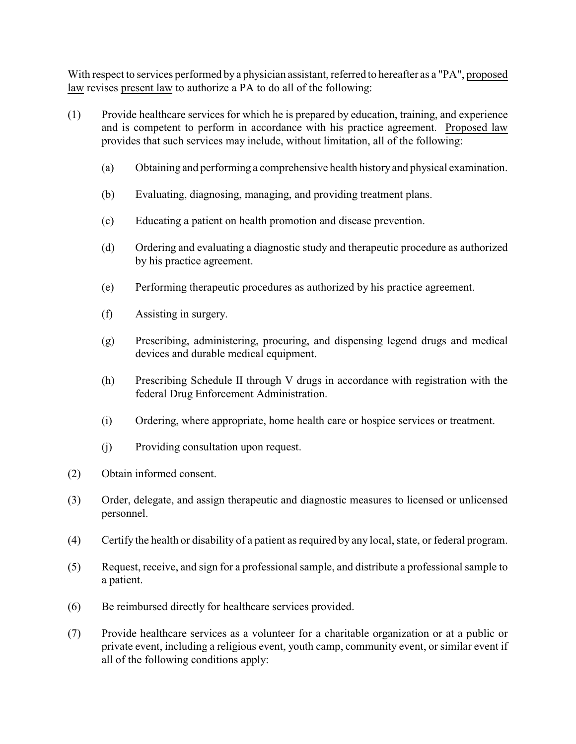With respect to services performed by a physician assistant, referred to hereafter as a "PA", proposed law revises present law to authorize a PA to do all of the following:

- (1) Provide healthcare services for which he is prepared by education, training, and experience and is competent to perform in accordance with his practice agreement. Proposed law provides that such services may include, without limitation, all of the following:
	- (a) Obtaining and performing a comprehensive health history and physical examination.
	- (b) Evaluating, diagnosing, managing, and providing treatment plans.
	- (c) Educating a patient on health promotion and disease prevention.
	- (d) Ordering and evaluating a diagnostic study and therapeutic procedure as authorized by his practice agreement.
	- (e) Performing therapeutic procedures as authorized by his practice agreement.
	- (f) Assisting in surgery.
	- (g) Prescribing, administering, procuring, and dispensing legend drugs and medical devices and durable medical equipment.
	- (h) Prescribing Schedule II through V drugs in accordance with registration with the federal Drug Enforcement Administration.
	- (i) Ordering, where appropriate, home health care or hospice services or treatment.
	- (j) Providing consultation upon request.
- (2) Obtain informed consent.
- (3) Order, delegate, and assign therapeutic and diagnostic measures to licensed or unlicensed personnel.
- (4) Certify the health or disability of a patient as required by any local, state, or federal program.
- (5) Request, receive, and sign for a professional sample, and distribute a professional sample to a patient.
- (6) Be reimbursed directly for healthcare services provided.
- (7) Provide healthcare services as a volunteer for a charitable organization or at a public or private event, including a religious event, youth camp, community event, or similar event if all of the following conditions apply: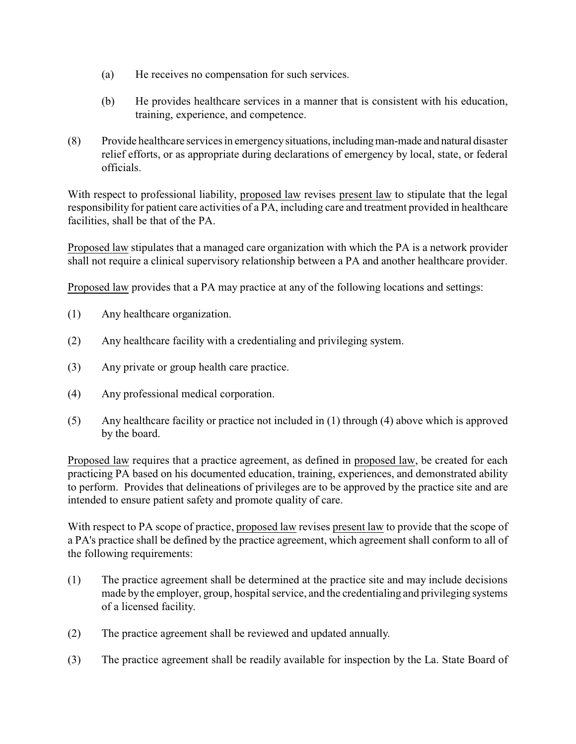- (a) He receives no compensation for such services.
- (b) He provides healthcare services in a manner that is consistent with his education, training, experience, and competence.
- (8) Provide healthcare services in emergencysituations, includingman-made and natural disaster relief efforts, or as appropriate during declarations of emergency by local, state, or federal officials.

With respect to professional liability, proposed law revises present law to stipulate that the legal responsibility for patient care activities of a PA, including care and treatment provided in healthcare facilities, shall be that of the PA.

Proposed law stipulates that a managed care organization with which the PA is a network provider shall not require a clinical supervisory relationship between a PA and another healthcare provider.

Proposed law provides that a PA may practice at any of the following locations and settings:

- (1) Any healthcare organization.
- (2) Any healthcare facility with a credentialing and privileging system.
- (3) Any private or group health care practice.
- (4) Any professional medical corporation.
- (5) Any healthcare facility or practice not included in (1) through (4) above which is approved by the board.

Proposed law requires that a practice agreement, as defined in proposed law, be created for each practicing PA based on his documented education, training, experiences, and demonstrated ability to perform. Provides that delineations of privileges are to be approved by the practice site and are intended to ensure patient safety and promote quality of care.

With respect to PA scope of practice, proposed law revises present law to provide that the scope of a PA's practice shall be defined by the practice agreement, which agreement shall conform to all of the following requirements:

- (1) The practice agreement shall be determined at the practice site and may include decisions made by the employer, group, hospital service, and the credentialing and privileging systems of a licensed facility.
- (2) The practice agreement shall be reviewed and updated annually.
- (3) The practice agreement shall be readily available for inspection by the La. State Board of